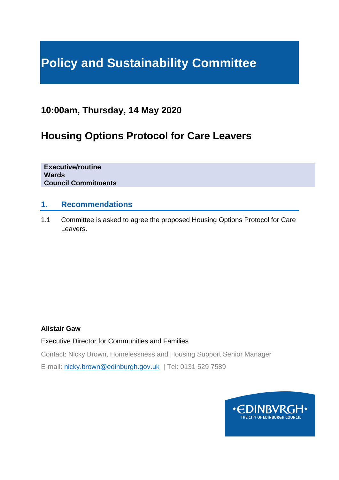# **Policy and Sustainability Committee**

# **10:00am, Thursday, 14 May 2020**

# **Housing Options Protocol for Care Leavers**

**Executive/routine Wards Council Commitments**

#### **1. Recommendations**

1.1 Committee is asked to agree the proposed Housing Options Protocol for Care Leavers.

#### **Alistair Gaw**

Executive Director for Communities and Families

Contact: Nicky Brown, Homelessness and Housing Support Senior Manager

E-mail: [nicky.brown@edinburgh.gov.uk](mailto:nicky.brown@edinburgh.gov.uk) | Tel: 0131 529 7589

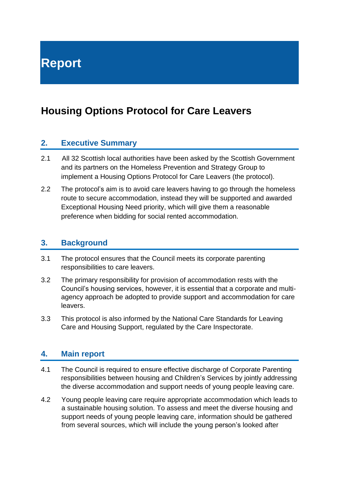# **Housing Options Protocol for Care Leavers**

#### **2. Executive Summary**

- 2.1 All 32 Scottish local authorities have been asked by the Scottish Government and its partners on the Homeless Prevention and Strategy Group to implement a Housing Options Protocol for Care Leavers (the protocol).
- 2.2 The protocol's aim is to avoid care leavers having to go through the homeless route to secure accommodation, instead they will be supported and awarded Exceptional Housing Need priority, which will give them a reasonable preference when bidding for social rented accommodation.

#### **3. Background**

- 3.1 The protocol ensures that the Council meets its corporate parenting responsibilities to care leavers.
- 3.2 The primary responsibility for provision of accommodation rests with the Council's housing services, however, it is essential that a corporate and multiagency approach be adopted to provide support and accommodation for care leavers.
- 3.3 This protocol is also informed by the National Care Standards for Leaving Care and Housing Support, regulated by the Care Inspectorate.

#### **4. Main report**

- 4.1 The Council is required to ensure effective discharge of Corporate Parenting responsibilities between housing and Children's Services by jointly addressing the diverse accommodation and support needs of young people leaving care.
- 4.2 Young people leaving care require appropriate accommodation which leads to a sustainable housing solution. To assess and meet the diverse housing and support needs of young people leaving care, information should be gathered from several sources, which will include the young person's looked after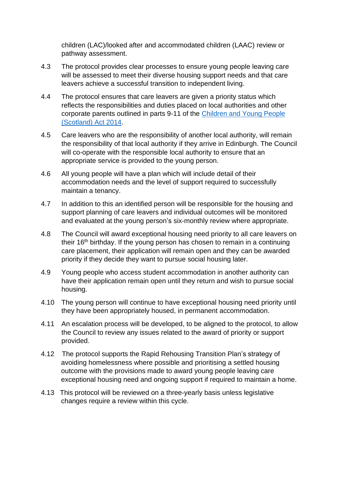children (LAC)/looked after and accommodated children (LAAC) review or pathway assessment.

- 4.3 The protocol provides clear processes to ensure young people leaving care will be assessed to meet their diverse housing support needs and that care leavers achieve a successful transition to independent living.
- 4.4 The protocol ensures that care leavers are given a priority status which reflects the responsibilities and duties placed on local authorities and other corporate parents outlined in parts 9-11 of the [Children and Young People](http://www.legislation.gov.uk/asp/2014/8/contents/enacted)  [\(Scotland\) Act 2014.](http://www.legislation.gov.uk/asp/2014/8/contents/enacted)
- 4.5 Care leavers who are the responsibility of another local authority, will remain the responsibility of that local authority if they arrive in Edinburgh. The Council will co-operate with the responsible local authority to ensure that an appropriate service is provided to the young person.
- 4.6 All young people will have a plan which will include detail of their accommodation needs and the level of support required to successfully maintain a tenancy.
- 4.7 In addition to this an identified person will be responsible for the housing and support planning of care leavers and individual outcomes will be monitored and evaluated at the young person's six-monthly review where appropriate.
- 4.8 The Council will award exceptional housing need priority to all care leavers on their 16<sup>th</sup> birthday. If the young person has chosen to remain in a continuing care placement, their application will remain open and they can be awarded priority if they decide they want to pursue social housing later.
- 4.9 Young people who access student accommodation in another authority can have their application remain open until they return and wish to pursue social housing.
- 4.10 The young person will continue to have exceptional housing need priority until they have been appropriately housed, in permanent accommodation.
- 4.11 An escalation process will be developed, to be aligned to the protocol, to allow the Council to review any issues related to the award of priority or support provided.
- 4.12 The protocol supports the Rapid Rehousing Transition Plan's strategy of avoiding homelessness where possible and prioritising a settled housing outcome with the provisions made to award young people leaving care exceptional housing need and ongoing support if required to maintain a home.
- 4.13 This protocol will be reviewed on a three-yearly basis unless legislative changes require a review within this cycle.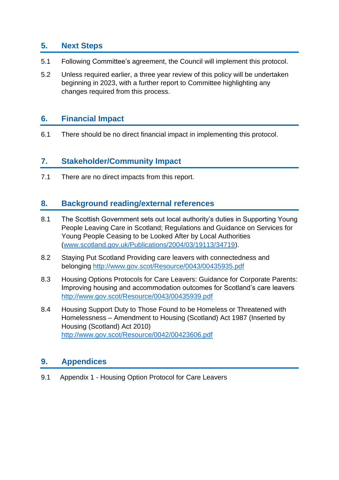### **5. Next Steps**

- 5.1 Following Committee's agreement, the Council will implement this protocol.
- 5.2 Unless required earlier, a three year review of this policy will be undertaken beginning in 2023, with a further report to Committee highlighting any changes required from this process.

#### **6. Financial Impact**

6.1 There should be no direct financial impact in implementing this protocol.

# **7. Stakeholder/Community Impact**

7.1 There are no direct impacts from this report.

### **8. Background reading/external references**

- 8.1 The Scottish Government sets out local authority's duties in Supporting Young People Leaving Care in Scotland; Regulations and Guidance on Services for Young People Ceasing to be Looked After by Local Authorities [\(www.scotland.gov.uk/Publications/2004/03/19113/34719\)](http://www.scotland.gov.uk/Publications/2004/03/19113/34719).
- 8.2 Staying Put Scotland Providing care leavers with connectedness and belonging<http://www.gov.scot/Resource/0043/00435935.pdf>
- 8.3 Housing Options Protocols for Care Leavers: Guidance for Corporate Parents: Improving housing and accommodation outcomes for Scotland's care leavers <http://www.gov.scot/Resource/0043/00435939.pdf>
- 8.4 Housing Support Duty to Those Found to be Homeless or Threatened with Homelessness – Amendment to Housing (Scotland) Act 1987 (Inserted by Housing (Scotland) Act 2010) <http://www.gov.scot/Resource/0042/00423606.pdf>

# **9. Appendices**

9.1 Appendix 1 - Housing Option Protocol for Care Leavers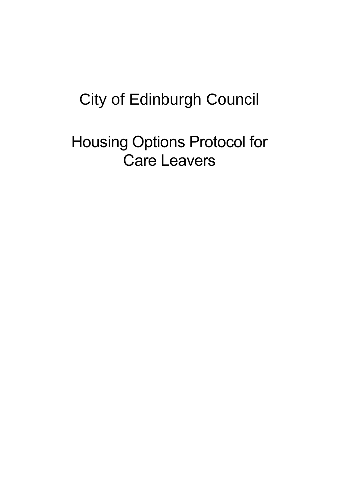# City of Edinburgh Council

Housing Options Protocol for Care Leavers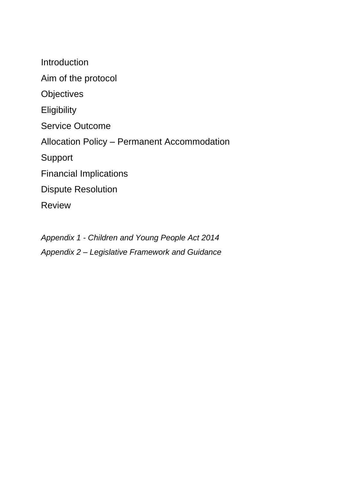Introduction Aim of the protocol **Objectives Eligibility** Service Outcome Allocation Policy – Permanent Accommodation Support Financial Implications Dispute Resolution Review

*Appendix 1 - Children and Young People Act 2014 Appendix 2 – Legislative Framework and Guidance*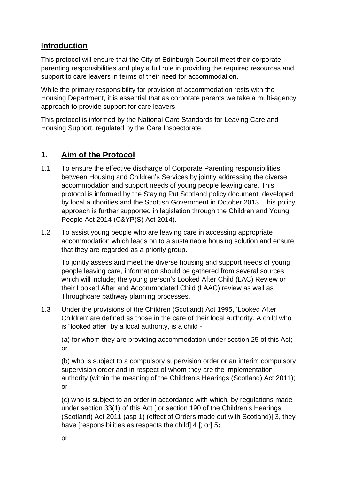### **Introduction**

This protocol will ensure that the City of Edinburgh Council meet their corporate parenting responsibilities and play a full role in providing the required resources and support to care leavers in terms of their need for accommodation.

While the primary responsibility for provision of accommodation rests with the Housing Department, it is essential that as corporate parents we take a multi-agency approach to provide support for care leavers.

This protocol is informed by the National Care Standards for Leaving Care and Housing Support, regulated by the Care Inspectorate.

# **1. Aim of the Protocol**

- 1.1 To ensure the effective discharge of Corporate Parenting responsibilities between Housing and Children's Services by jointly addressing the diverse accommodation and support needs of young people leaving care. This protocol is informed by the Staying Put Scotland policy document, developed by local authorities and the Scottish Government in October 2013. This policy approach is further supported in legislation through the Children and Young People Act 2014 (C&YP(S) Act 2014).
- 1.2 To assist young people who are leaving care in accessing appropriate accommodation which leads on to a sustainable housing solution and ensure that they are regarded as a priority group.

To jointly assess and meet the diverse housing and support needs of young people leaving care, information should be gathered from several sources which will include; the young person's Looked After Child (LAC) Review or their Looked After and Accommodated Child (LAAC) review as well as Throughcare pathway planning processes.

1.3 Under the provisions of the Children (Scotland) Act 1995, 'Looked After Children' are defined as those in the care of their local authority. A child who is "looked after" by a local authority, is a child -

(a) for whom they are providing accommodation under section 25 of this Act; or

(b) who is subject to a compulsory supervision order or an interim compulsory supervision order and in respect of whom they are the implementation authority (within the meaning of the Children's Hearings (Scotland) Act 2011); or

(c) who is subject to an order in accordance with which, by regulations made under section 33(1) of this Act [ or section 190 of the Children's Hearings (Scotland) Act 2011 (asp 1) (effect of Orders made out with Scotland)] 3, they have [responsibilities as respects the child] 4 [; or] 5*;*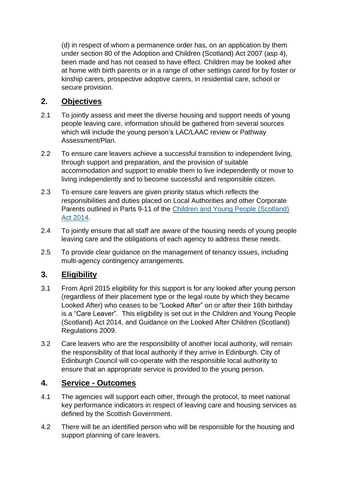(d) in respect of whom a permanence order has, on an application by them under section 80 of the Adoption and Children (Scotland) Act 2007 (asp 4), been made and has not ceased to have effect. Children may be looked after at home with birth parents or in a range of other settings cared for by foster or kinship carers, prospective adoptive carers, in residential care, school or secure provision.

# **2. Objectives**

- 2.1 To jointly assess and meet the diverse housing and support needs of young people leaving care, information should be gathered from several sources which will include the young person's LAC/LAAC review or Pathway Assessment/Plan.
- 2.2 To ensure care leavers achieve a successful transition to independent living, through support and preparation, and the provision of suitable accommodation and support to enable them to live independently or move to living independently and to become successful and responsible citizen.
- 2.3 To ensure care leavers are given priority status which reflects the responsibilities and duties placed on Local Authorities and other Corporate Parents outlined in Parts 9-11 of the Children and Young People [\(Scotland\)](http://www.legislation.gov.uk/asp/2014/8/contents/enacted) Act [2014.](http://www.legislation.gov.uk/asp/2014/8/contents/enacted)
- 2.4 To jointly ensure that all staff are aware of the housing needs of young people leaving care and the obligations of each agency to address these needs.
- 2.5 To provide clear guidance on the management of tenancy issues, including multi-agency contingency arrangements.

# **3. Eligibility**

- 3.1 From April 2015 eligibility for this support is for any looked after young person (regardless of their placement type or the legal route by which they became Looked After) who ceases to be "Looked After" on or after their 16th birthday is a "Care Leaver". This eligibility is set out in the Children and Young People (Scotland) Act 2014, and Guidance on the Looked After Children (Scotland) Regulations 2009.
- 3.2 Care leavers who are the responsibility of another local authority, will remain the responsibility of that local authority if they arrive in Edinburgh. City of Edinburgh Council will co-operate with the responsible local authority to ensure that an appropriate service is provided to the young person.

# **4. Service - Outcomes**

- 4.1 The agencies will support each other, through the protocol, to meet national key performance indicators in respect of leaving care and housing services as defined by the Scottish Government.
- 4.2 There will be an identified person who will be responsible for the housing and support planning of care leavers.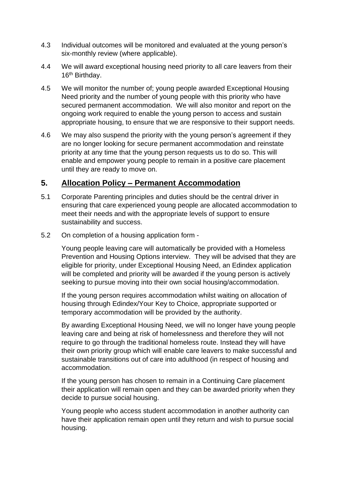- 4.3 Individual outcomes will be monitored and evaluated at the young person's six-monthly review (where applicable).
- 4.4 We will award exceptional housing need priority to all care leavers from their 16<sup>th</sup> Birthday.
- 4.5 We will monitor the number of; young people awarded Exceptional Housing Need priority and the number of young people with this priority who have secured permanent accommodation. We will also monitor and report on the ongoing work required to enable the young person to access and sustain appropriate housing, to ensure that we are responsive to their support needs.
- 4.6 We may also suspend the priority with the young person's agreement if they are no longer looking for secure permanent accommodation and reinstate priority at any time that the young person requests us to do so. This will enable and empower young people to remain in a positive care placement until they are ready to move on.

### **5. Allocation Policy – Permanent Accommodation**

- 5.1 Corporate Parenting principles and duties should be the central driver in ensuring that care experienced young people are allocated accommodation to meet their needs and with the appropriate levels of support to ensure sustainability and success.
- 5.2 On completion of a housing application form -

Young people leaving care will automatically be provided with a Homeless Prevention and Housing Options interview. They will be advised that they are eligible for priority, under Exceptional Housing Need, an Edindex application will be completed and priority will be awarded if the young person is actively seeking to pursue moving into their own social housing/accommodation.

If the young person requires accommodation whilst waiting on allocation of housing through Edindex/Your Key to Choice, appropriate supported or temporary accommodation will be provided by the authority.

By awarding Exceptional Housing Need, we will no longer have young people leaving care and being at risk of homelessness and therefore they will not require to go through the traditional homeless route. Instead they will have their own priority group which will enable care leavers to make successful and sustainable transitions out of care into adulthood (in respect of housing and accommodation.

If the young person has chosen to remain in a Continuing Care placement their application will remain open and they can be awarded priority when they decide to pursue social housing.

Young people who access student accommodation in another authority can have their application remain open until they return and wish to pursue social housing.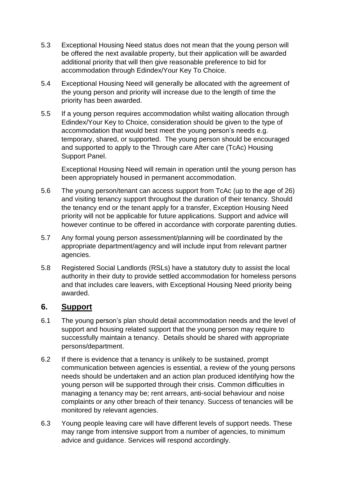- 5.3 Exceptional Housing Need status does not mean that the young person will be offered the next available property, but their application will be awarded additional priority that will then give reasonable preference to bid for accommodation through Edindex/Your Key To Choice.
- 5.4 Exceptional Housing Need will generally be allocated with the agreement of the young person and priority will increase due to the length of time the priority has been awarded.
- 5.5 If a young person requires accommodation whilst waiting allocation through Edindex/Your Key to Choice, consideration should be given to the type of accommodation that would best meet the young person's needs e.g. temporary, shared, or supported. The young person should be encouraged and supported to apply to the Through care After care (TcAc) Housing Support Panel.

Exceptional Housing Need will remain in operation until the young person has been appropriately housed in permanent accommodation.

- 5.6 The young person/tenant can access support from TcAc (up to the age of 26) and visiting tenancy support throughout the duration of their tenancy. Should the tenancy end or the tenant apply for a transfer, Exception Housing Need priority will not be applicable for future applications. Support and advice will however continue to be offered in accordance with corporate parenting duties.
- 5.7 Any formal young person assessment/planning will be coordinated by the appropriate department/agency and will include input from relevant partner agencies.
- 5.8 Registered Social Landlords (RSLs) have a statutory duty to assist the local authority in their duty to provide settled accommodation for homeless persons and that includes care leavers, with Exceptional Housing Need priority being awarded.

#### **6. Support**

- 6.1 The young person's plan should detail accommodation needs and the level of support and housing related support that the young person may require to successfully maintain a tenancy. Details should be shared with appropriate persons/department.
- 6.2 If there is evidence that a tenancy is unlikely to be sustained, prompt communication between agencies is essential, a review of the young persons needs should be undertaken and an action plan produced identifying how the young person will be supported through their crisis. Common difficulties in managing a tenancy may be; rent arrears, anti-social behaviour and noise complaints or any other breach of their tenancy. Success of tenancies will be monitored by relevant agencies.
- 6.3 Young people leaving care will have different levels of support needs. These may range from intensive support from a number of agencies, to minimum advice and guidance. Services will respond accordingly.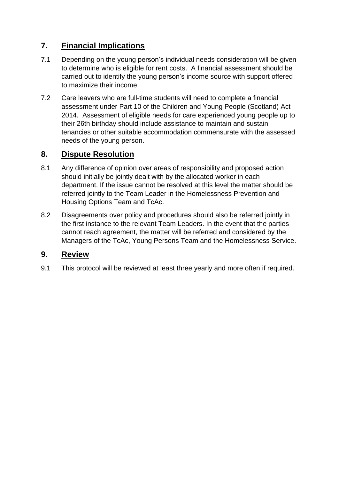# **7. Financial Implications**

- 7.1 Depending on the young person's individual needs consideration will be given to determine who is eligible for rent costs. A financial assessment should be carried out to identify the young person's income source with support offered to maximize their income.
- 7.2 Care leavers who are full-time students will need to complete a financial assessment under Part 10 of the Children and Young People (Scotland) Act 2014. Assessment of eligible needs for care experienced young people up to their 26th birthday should include assistance to maintain and sustain tenancies or other suitable accommodation commensurate with the assessed needs of the young person.

# **8. Dispute Resolution**

- 8.1 Any difference of opinion over areas of responsibility and proposed action should initially be jointly dealt with by the allocated worker in each department. If the issue cannot be resolved at this level the matter should be referred jointly to the Team Leader in the Homelessness Prevention and Housing Options Team and TcAc.
- 8.2 Disagreements over policy and procedures should also be referred jointly in the first instance to the relevant Team Leaders. In the event that the parties cannot reach agreement, the matter will be referred and considered by the Managers of the TcAc, Young Persons Team and the Homelessness Service.

#### **9. Review**

9.1 This protocol will be reviewed at least three yearly and more often if required.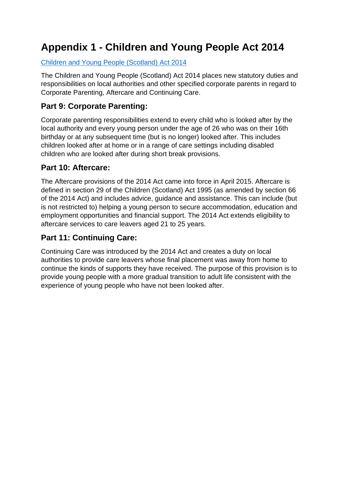# **Appendix 1 - Children and Young People Act 2014**

#### Children and Young People [\(Scotland\)](http://www.legislation.gov.uk/asp/2014/8/contents/enacted) Act 2014

The Children and Young People (Scotland) Act 2014 places new statutory duties and responsibilities on local authorities and other specified corporate parents in regard to Corporate Parenting, Aftercare and Continuing Care.

# **Part 9: Corporate Parenting:**

Corporate parenting responsibilities extend to every child who is looked after by the local authority and every young person under the age of 26 who was on their 16th birthday or at any subsequent time (but is no longer) looked after. This includes children looked after at home or in a range of care settings including disabled children who are looked after during short break provisions.

# **Part 10: Aftercare:**

The Aftercare provisions of the 2014 Act came into force in April 2015. Aftercare is defined in section 29 of the Children (Scotland) Act 1995 (as amended by section 66 of the 2014 Act) and includes advice, guidance and assistance. This can include (but is not restricted to) helping a young person to secure accommodation, education and employment opportunities and financial support. The 2014 Act extends eligibility to aftercare services to care leavers aged 21 to 25 years.

# **Part 11: Continuing Care:**

Continuing Care was introduced by the 2014 Act and creates a duty on local authorities to provide care leavers whose final placement was away from home to continue the kinds of supports they have received. The purpose of this provision is to provide young people with a more gradual transition to adult life consistent with the experience of young people who have not been looked after.